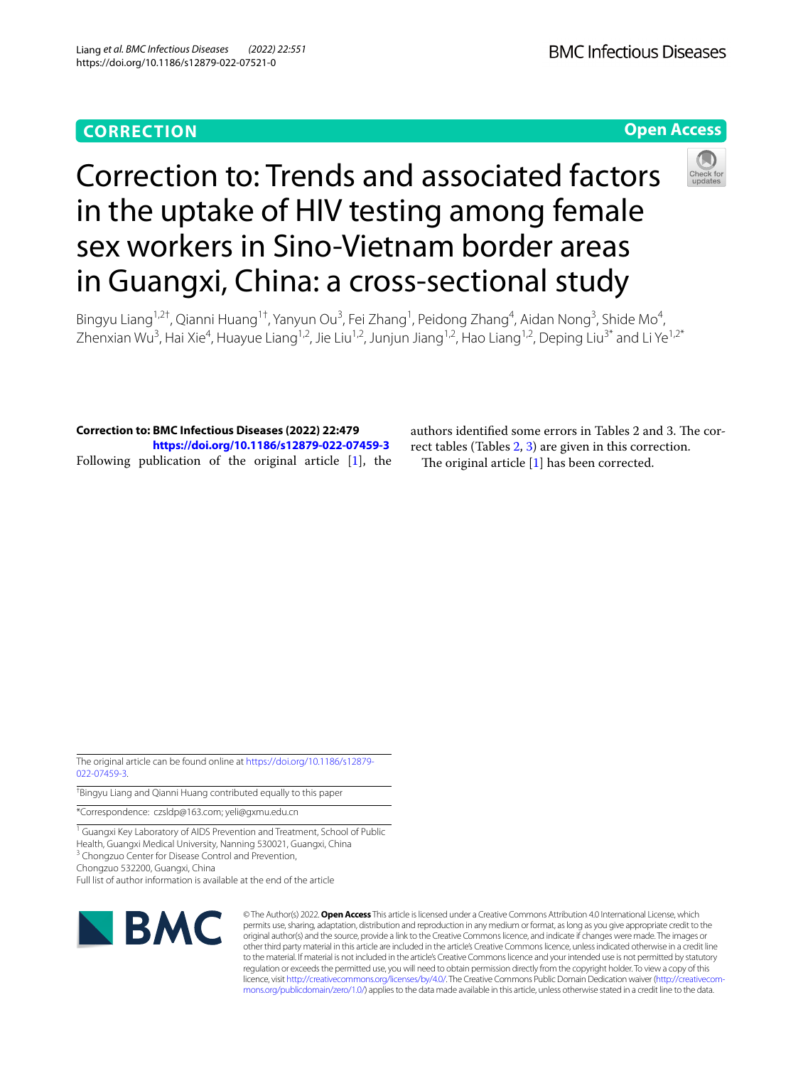## **CORRECTION**

**BMC Infectious Diseases** 

### **Open Access**



# Correction to: Trends and associated factors in the uptake of HIV testing among female sex workers in Sino-Vietnam border areas in Guangxi, China: a cross-sectional study

Bingyu Liang<sup>1,2†</sup>, Qianni Huang<sup>1†</sup>, Yanyun Ou<sup>3</sup>, Fei Zhang<sup>1</sup>, Peidong Zhang<sup>4</sup>, Aidan Nong<sup>3</sup>, Shide Mo<sup>4</sup>, Zhenxian Wu<sup>3</sup>, Hai Xie<sup>4</sup>, Huayue Liang<sup>1,2</sup>, Jie Liu<sup>1,2</sup>, Junjun Jiang<sup>1,2</sup>, Hao Liang<sup>1,2</sup>, Deping Liu<sup>3\*</sup> and Li Ye<sup>1,2\*</sup>

**Correction to: BMC Infectious Diseases (2022) 22:479 <https://doi.org/10.1186/s12879-022-07459-3>** Following publication of the original article [\[1\]](#page-4-0), the authors identified some errors in Tables 2 and 3. The correct tables (Tables [2,](#page-1-0) [3](#page-2-0)) are given in this correction. The original article  $[1]$  $[1]$  has been corrected.

The original article can be found online at [https://doi.org/10.1186/s12879-](https://doi.org/10.1186/s12879-022-07459-3) [022-07459-3](https://doi.org/10.1186/s12879-022-07459-3).

† Bingyu Liang and Qianni Huang contributed equally to this paper

\*Correspondence: czsldp@163.com; yeli@gxmu.edu.cn

<sup>1</sup> Guangxi Key Laboratory of AIDS Prevention and Treatment, School of Public Health, Guangxi Medical University, Nanning 530021, Guangxi, China

<sup>3</sup> Chongzuo Center for Disease Control and Prevention,

Chongzuo 532200, Guangxi, China

Full list of author information is available at the end of the article



© The Author(s) 2022. **Open Access** This article is licensed under a Creative Commons Attribution 4.0 International License, which permits use, sharing, adaptation, distribution and reproduction in any medium or format, as long as you give appropriate credit to the original author(s) and the source, provide a link to the Creative Commons licence, and indicate if changes were made. The images or other third party material in this article are included in the article's Creative Commons licence, unless indicated otherwise in a credit line to the material. If material is not included in the article's Creative Commons licence and your intended use is not permitted by statutory regulation or exceeds the permitted use, you will need to obtain permission directly from the copyright holder. To view a copy of this licence, visit [http://creativecommons.org/licenses/by/4.0/.](http://creativecommons.org/licenses/by/4.0/) The Creative Commons Public Domain Dedication waiver ([http://creativecom](http://creativecommons.org/publicdomain/zero/1.0/)[mons.org/publicdomain/zero/1.0/\)](http://creativecommons.org/publicdomain/zero/1.0/) applies to the data made available in this article, unless otherwise stated in a credit line to the data.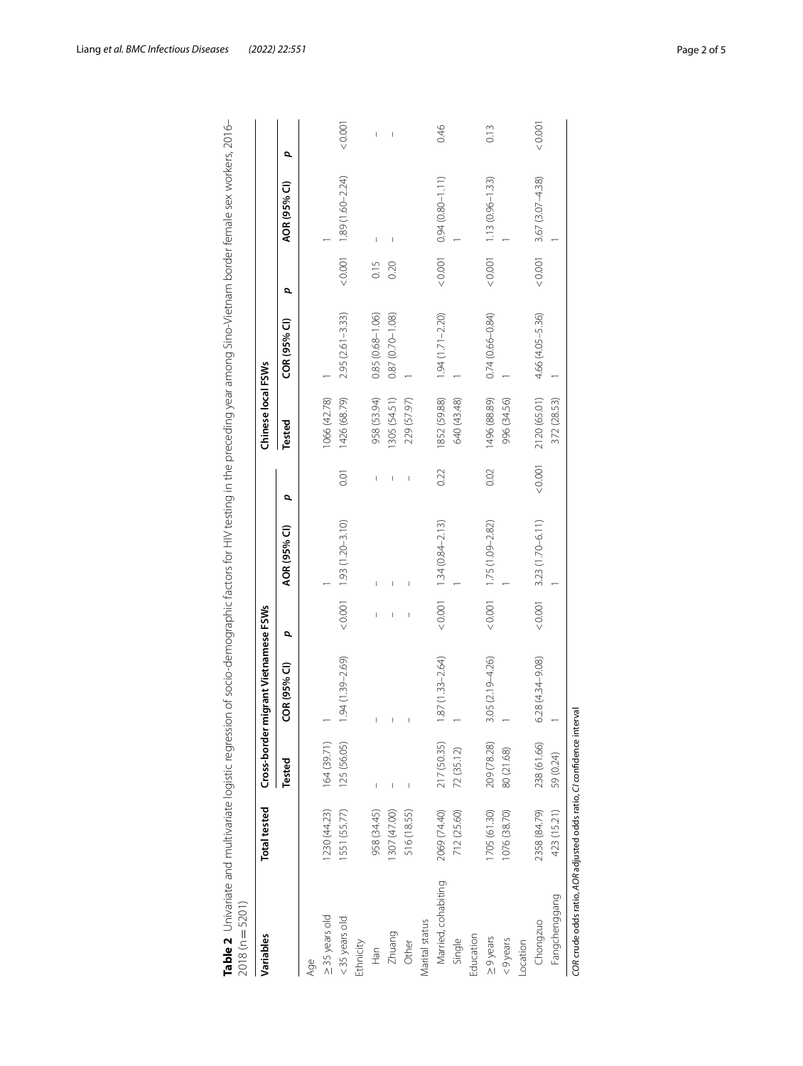| $2018(n = 5201)$                                                      |                     |               |                                      |   |                                |       |                    |                     |      |                             |         |
|-----------------------------------------------------------------------|---------------------|---------------|--------------------------------------|---|--------------------------------|-------|--------------------|---------------------|------|-----------------------------|---------|
| Variables                                                             | <b>Total tested</b> |               | Cross-border migrant Vietnamese FSWs |   |                                |       | Chinese local FSWs |                     |      |                             |         |
|                                                                       |                     | <b>Tested</b> | COR (95% CI)                         | p | AOR (95% CI)                   | p     | Tested             | COR (95% CI)        | p    | AOR (95% CI)                | p       |
| Age                                                                   |                     |               |                                      |   |                                |       |                    |                     |      |                             |         |
| ≥ 35 years old                                                        | 1230 (44.23)        | 164 (39.71)   |                                      |   |                                |       | 1066 (42.78)       |                     |      |                             |         |
| <35 years old                                                         | 1551 (55.77)        | 125 (56.05)   | $.94(1.39 - 2.69)$                   |   | $< 0.001$ 1.93 (1.20-3.10)     | 0.01  | 1426 (68.79)       | $2.95(2.61 - 3.33)$ |      | $< 0.001$ 1.89 (1.60-2.24)  | < 0.001 |
| Ethnicity                                                             |                     |               |                                      |   |                                |       |                    |                     |      |                             |         |
| Han                                                                   | 958 (34.45)         |               |                                      |   |                                | I     | 958 (53.94)        | $0.85(0.68 - 1.06)$ | 0.15 | I                           | I       |
| Zhuang                                                                | 1307 (47.00)        |               |                                      |   |                                |       | 1305 (54.51)       | $0.87(0.70 - 1.08)$ | 0.20 |                             |         |
| Other                                                                 | 516 (18.55)         |               |                                      |   |                                |       | 229 (57.97)        |                     |      |                             |         |
| Marital status                                                        |                     |               |                                      |   |                                |       |                    |                     |      |                             |         |
| Married, cohabiting                                                   | 2069 (74.40)        | 217 (50.35)   | $.87(1.33 - 2.64)$                   |   | $< 0.001$ $1.34 (0.84 - 2.13)$ | 0.22  | 1852 (59.88)       | $1.94(1.71 - 2.20)$ |      | $0.001$ 0.94 (0.80-1.11)    | 0.46    |
| Single                                                                | 712 (25.60)         | 72 (35.12)    |                                      |   |                                |       | 640 (43.48)        |                     |      |                             |         |
| Education                                                             |                     |               |                                      |   |                                |       |                    |                     |      |                             |         |
| $\geq 9$ years                                                        | 1705 (61.30)        | 209 (78.28)   | $3.05(2.19 - 4.26)$                  |   | $< 0.001$ 1.75 (1.09-2.82)     | 0.02  | 1496 (88.89)       | $0.74(0.66 - 0.84)$ |      | $< 0.001$ 1.13 (0.96-1.33)  | 0.13    |
| $<$ 9 years                                                           | 076 (38.70)         | 80 (21.68)    |                                      |   |                                |       | 996 (34.56)        |                     |      |                             |         |
| Location                                                              |                     |               |                                      |   |                                |       |                    |                     |      |                             |         |
| Chongzuo                                                              | 2358 (84.79)        | 238 (61.66)   | $5.28(4.34 - 9.08)$                  |   | $< 0.001$ 3.23 (1.70-6.11)     | 10000 | 2120 (65.01)       | 4.66 (4.05-5.36)    |      | $< 0.001$ 3.67 (3.07 -4.38) | 0.001   |
| Fangchenggang                                                         | 423 (15.21)         | 59 (0.24)     |                                      |   |                                |       | 372 (28.53)        |                     |      |                             |         |
| COR crude odds ratio, AOR adjusted odds ratio, CI confidence interval |                     |               |                                      |   |                                |       |                    |                     |      |                             |         |

<span id="page-1-0"></span>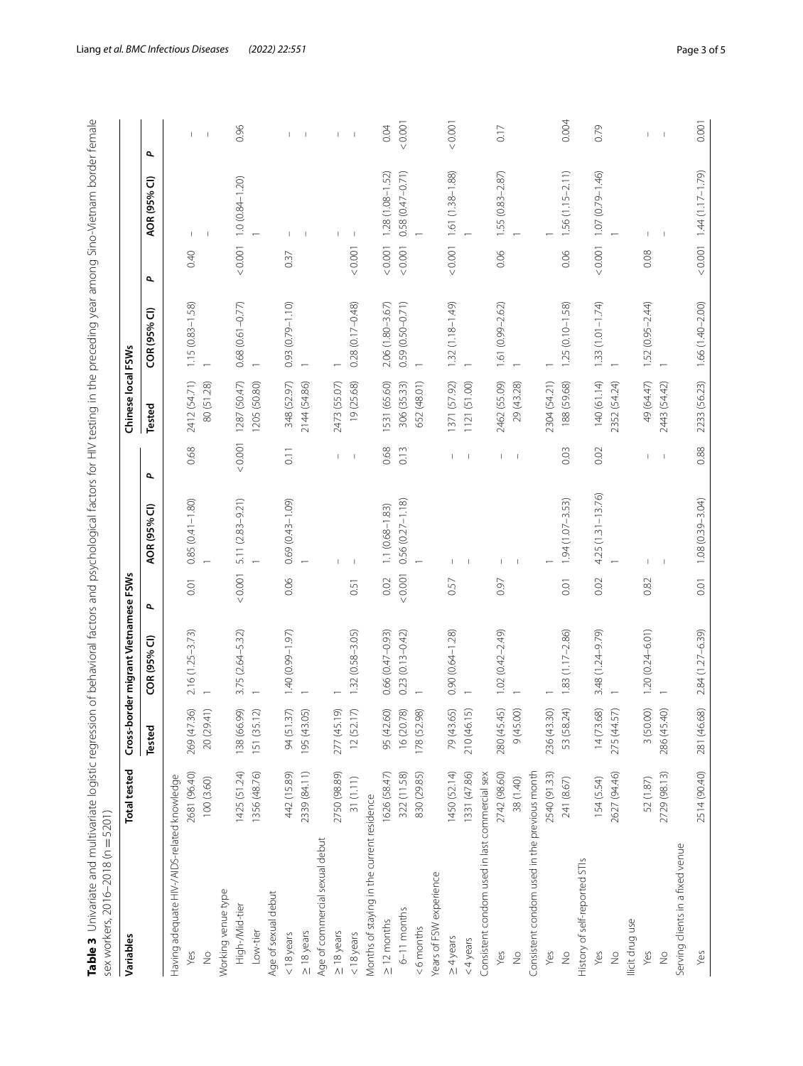<span id="page-2-0"></span>

| Variables                                     | <b>Total tested</b> |                              | Cross-border migrant Vietnamese FSWs |       |                      |                          | Chinese local FSWs |                     |                              |                          |
|-----------------------------------------------|---------------------|------------------------------|--------------------------------------|-------|----------------------|--------------------------|--------------------|---------------------|------------------------------|--------------------------|
|                                               |                     | Tested                       | COR (95% CI)                         | ٩     | AOR (95% CI)         | $\overline{\phantom{a}}$ | Tested             | COR (95% CI)        | AOR (95% CI)<br>٩            | ٩                        |
| Having adequate HIV-/AIDS-related knowledge   |                     |                              |                                      |       |                      |                          |                    |                     |                              |                          |
| Yes                                           | 2681 (96.40)        | 269 (47.36)                  | $2.16(1.25 - 3.73)$                  | 0.01  | $0.85(0.41 - 1.80)$  | 0.68                     | 2412 (54.71)       | $1.15(0.83 - 1.58)$ | 0.40                         |                          |
| $\frac{1}{2}$                                 | 100(3.60)           | 20 (29.41)                   |                                      |       |                      |                          | 80 (51.28)         |                     |                              |                          |
| Working venue type                            |                     |                              |                                      |       |                      |                          |                    |                     |                              |                          |
| High-/Mid-tier                                | 1425 (51.24)        | 138 (66.99)                  | 3.75 (2.64-5.32)                     | 0.001 | 5.11 (2.83-9.21)     | 0.001                    | 1287 (50.47)       | $0.68(0.61 - 0.77)$ | $1.0(0.84 - 1.20)$<br>&0.001 | 0.96                     |
| Low-tier                                      | 1356 (48.76)        | $\vert 2\rangle$<br>151 (35. |                                      |       |                      |                          | (205 (50.80)       |                     |                              |                          |
| Age of sexual debut                           |                     |                              |                                      |       |                      |                          |                    |                     |                              |                          |
| $<$ 18 years                                  | 442 (15.89)         | 94 (51.37)                   | 1.40 (0.99-1.97)                     | 0.06  | $0.69(0.43 - 1.09)$  | $\overline{0}$ . 1       | 348 (52.97)        | $0.93(0.79 - 1.10)$ | 0.37                         |                          |
| $\geq$ 18 years                               | 2339 (84.11)        | 195 (43.05)                  |                                      |       |                      |                          | 2144 (54.86)       |                     |                              | $\overline{\phantom{a}}$ |
| Age of commercial sexual debut                |                     |                              |                                      |       |                      |                          |                    |                     |                              |                          |
| $\geq$ 18 years                               | 2750 (98.89)        | ெ<br>277 (45.                |                                      |       |                      |                          | 2473 (55.07)       |                     |                              |                          |
| $<$ 18 years                                  | 31(1.11)            | $\sum$<br>12(52.7)           | $1.32(0.58 - 3.05)$                  | 0.51  |                      |                          | 19 (25.68)         | $0.28(0.17 - 0.48)$ | 0.001                        | $\overline{\phantom{a}}$ |
| Months of staying in the current residence    |                     |                              |                                      |       |                      |                          |                    |                     |                              |                          |
| $\geq$ 12 months                              | 1626 (58.47)        | 95 (42.60)                   | 0.66 (0.47-0.93)                     | 0.02  | $1.1(0.68 - 1.83)$   | 0.68                     | 1531 (65.60)       | 2.06 (1.80-3.67)    | $1.28(1.08 - 1.52)$<br>0.001 | 0.04                     |
| 6-11 months                                   | 322 (11.58)         | 16 (20.78)                   | $0.23(0.13 - 0.42)$                  | 0.001 | $0.56(0.27 - 1.18)$  | 0.13                     | 306 (35.33)        | $0.59(0.50 - 0.71)$ | 0.58 (0.47-0.71)<br>0.001    | < 0.001                  |
| <6 months                                     | 830 (29.85)         | 178 (52.98)                  |                                      |       |                      |                          | 652 (48.01)        |                     |                              |                          |
| Years of FSW experience                       |                     |                              |                                      |       |                      |                          |                    |                     |                              |                          |
| $\geq$ 4 years                                | 1450 (52.14)        | 79 (43.65)                   | $0.90(0.64 - 1.28)$                  | 0.57  |                      |                          | 1371 (57.92)       | 1.32 (1.18-1.49)    | $1.61(1.38 - 1.88)$<br>0.001 | 0.001                    |
| $<$ 4 years                                   | 1331 (47.86)        | 5<br>210 (46.                |                                      |       |                      |                          | 1121 (51.00)       |                     |                              |                          |
| Consistent condom used in last commercial sex |                     |                              |                                      |       |                      |                          |                    |                     |                              |                          |
| Yes                                           | 2742 (98.60)        | 280 (45.45)                  | $1.02(0.42 - 2.49)$                  | 0.97  |                      |                          | 2462 (55.09)       | 1.61 (0.99-2.62)    | $1.55(0.83 - 2.87)$<br>0.06  | 0.17                     |
| $\frac{1}{2}$                                 | 38 (1.40)           | 9(45.00)                     |                                      |       |                      |                          | 29 (43.28)         |                     |                              |                          |
| Consistent condom used in the previous month  |                     |                              |                                      |       |                      |                          |                    |                     |                              |                          |
| Yes                                           | 2540 (91.33)        | 236 (43.30)                  |                                      |       |                      |                          | 2304 (54.21)       |                     |                              |                          |
| $\frac{1}{2}$                                 | 241 (8.67)          | 53 (58.24)                   | $1.83(1.17 - 2.86)$                  | 0.01  | $1.94(1.07 - 3.53)$  | 0.03                     | 188 (59.68)        | $1.25(0.10 - 1.58)$ | $1.56(1.15 - 2.11)$<br>0.06  | 0.004                    |
| History of self-reported STIs                 |                     |                              |                                      |       |                      |                          |                    |                     |                              |                          |
| Yes                                           | 154 (5.54)          | 14(73.68)                    | 3.48 (1.24-9.79)                     | 0.02  | $4.25(1.31 - 13.76)$ | 0.02                     | 140 (61.14)        | $1.33(1.01 - 1.74)$ | $1.07(0.79 - 1.46)$<br>0.001 | 0.79                     |
| $\frac{1}{2}$                                 | 2627 (94.46)        | 275 (44.57)                  |                                      |       |                      |                          | 2352 (54.24)       |                     |                              |                          |
| llicit drug use                               |                     |                              |                                      |       |                      |                          |                    |                     |                              |                          |
| Yes                                           | 52 (1.87)           | 3 (50.00)                    | $1.20(0.24 - 6.01)$                  | 0.82  |                      |                          | 49 (64.47)         | $1.52(0.95 - 2.44)$ | 0.08                         |                          |
| $\frac{1}{2}$                                 | 2729 (98.13)        | 286 (45.40)                  |                                      |       |                      |                          | 2443 (54.42)       |                     |                              | $\mathbb I$              |
| Serving clients in a fixed venue              |                     |                              |                                      |       |                      |                          |                    |                     |                              |                          |
| Yes                                           | 2514 (90.40)        | 281 (46.68)                  | 2.84 (1.27-6.39)                     | 0.01  | $1.08(0.39 - 3.04)$  | 0.88                     | 2233 (56.23)       | $1.66(1.40 - 2.00)$ | $1.44(1.17 - 1.79)$<br>0.001 | 0.001                    |
|                                               |                     |                              |                                      |       |                      |                          |                    |                     |                              |                          |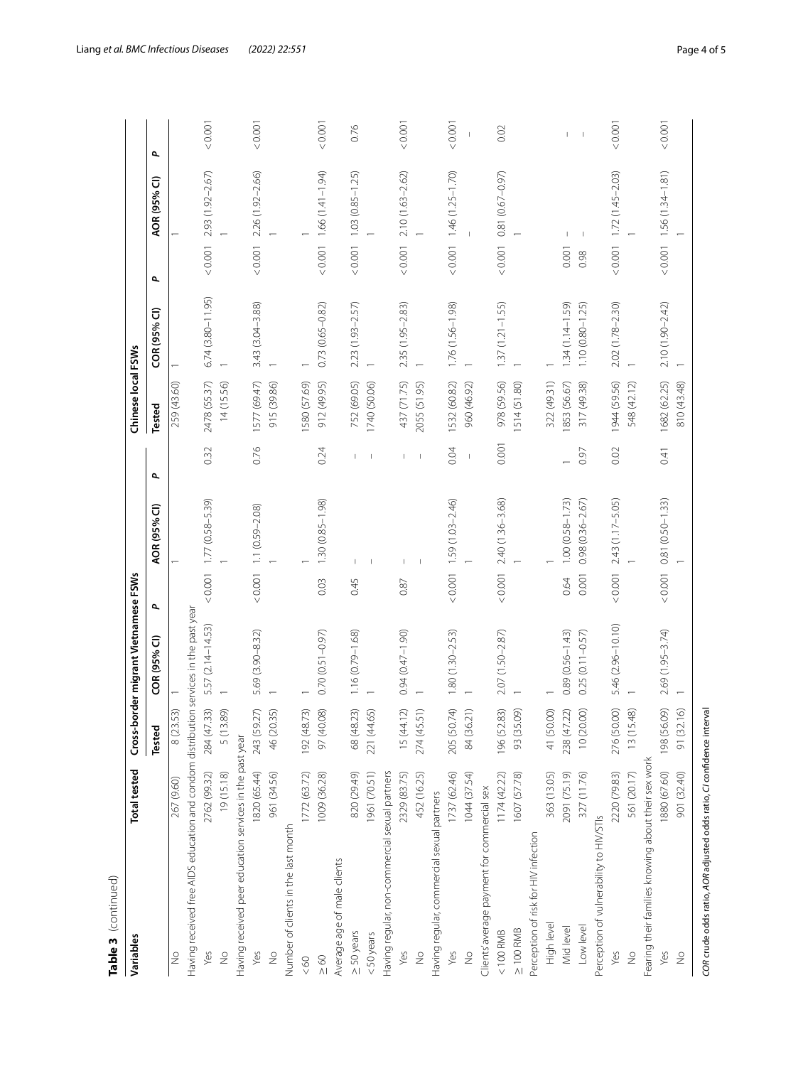| < 0.001<br>0.001<br>0.001<br>< 0.001<br>< 0.001<br>< 0.001<br>0.001<br>0.76<br>0.02<br>$\overline{\phantom{a}}$<br>$(1.41 - 1.94)$<br>2.93 (1.92-2.67)<br>2.26 (1.92-2.66)<br>$1.56(1.34 - 1.81)$<br>$2.10(1.63 - 2.62)$<br>$1.72(1.45 - 2.03)$<br>$< 0.001$ 1.03 $(0.85 - 1.25)$<br>$1.46(1.25 - 1.70)$<br>0.81 (0.67-0.97)<br>AOR (95% CI)<br>0.001<br>0.001<br>0.001<br>0.001<br>0.001<br>0.001<br>0.001<br>0.001<br>0.98<br>σ<br>$6.74(3.80 - 11.95)$<br>3.43 (3.04-3.88)<br>$0.73(0.65 - 0.82)$<br>2.35 (1.95-2.83)<br>1.76 (1.56-1.98)<br>2.23 (1.93-2.57)<br>$1.37(1.21 - 1.55)$<br>$1.10(0.80 - 1.25)$<br>2.02 (1.78-2.30)<br>$1.34(1.14 - 1.59)$<br>2.10 (1.90-2.42)<br>COR (95% CI)<br>1577 (69.47)<br>912 (49.95)<br>752 (69.05)<br>978 (59.56)<br>1682 (62.25)<br>2478 (55.37)<br>580 (57.69)<br>437 (71.75)<br>1532 (60.82)<br>1944 (59.56)<br>14 (15.56)<br>915 (39.86)<br>514 (51.80)<br>322 (49.31)<br>1853 (56.67)<br>317 (49.38)<br>259 (43.60)<br>1740 (50.06)<br>2055 (51.95)<br>548 (42.12)<br>810 (43.48)<br>960 (46.92)<br><b>Tested</b><br>0.001<br>0.76<br>0.32<br>0.24<br>0.02<br>0.04<br>0.41<br>0.97<br>$\overline{\phantom{a}}$<br>$(0.001 \t 1.77 \t (0.58 - 5.39))$<br>1.30 (0.85-1.98)<br>$1.59(1.03 - 2.46)$<br>2.40 (1.36-3.68)<br>$1.00(0.58 - 1.73)$<br>$0.98(0.36 - 2.67)$<br>2.43 (1.17-5.05)<br>$0.81(0.50 - 1.33)$<br>$< 0.001$ 1.1 $(0.59 - 2.08)$<br>AOR (95% CI)<br>0.001<br>0.001<br>0.001<br>0.001<br>0.001<br>0.64<br>0.03<br>0.45<br>0.87<br>$\overline{\phantom{a}}$<br>Having received free AIDS education and condom distribution services in the past year<br>5.57 (2.14-14.53)<br>5.46 (2.96-10.10)<br>5.69 (3.90-8.32)<br>$0.70(0.51 - 0.97)$<br>0.94 (0.47-1.90)<br>2.69 (1.95-3.74)<br>$1.16(0.79 - 1.68)$<br>$1.80(1.30 - 2.53)$<br>2.07 (1.50-2.87)<br>$0.89(0.56 - 1.43)$<br>$0.25(0.11 - 0.57)$<br>COR (95% CI)<br>205 (50.74)<br>284 (47.33)<br>196 (52.83)<br>97 (40.08)<br>68 (48.23)<br>15 (44.12)<br>84 (36.21)<br>238 (47.22)<br>10(20.00)<br>276 (50.00)<br>198 (56.09)<br>(6)<br>5 (13.89)<br>243 (59.27)<br>274 (45.51)<br>93 (35.09)<br>41 (50.00)<br>13 (15.48)<br>8 (23.53)<br>46 (20.35)<br>192 (48.73)<br>221 (44.65)<br>91 (32.<br>Tested<br>Having received peer education services in the past year<br>Fearing their families knowing about their sex work<br>1820 (65.44)<br>19 (15.18)<br>1772 (63.72)<br>1961 (70.51)<br>Having regular, non-commercial sexual partners<br>2762 (99.32)<br>961 (34.56)<br>1009 (36.28)<br>820 (29.49)<br>1737 (62.46)<br>2220 (79.83)<br>2329 (83.75)<br>452 (16.25)<br>1044 (37.54)<br>607 (57.78)<br>363 (13.05)<br>2091 (75.19)<br>327 (11.76)<br>561 (20.17)<br>1880 (67.60)<br>901 (32.40)<br>1174(42.22)<br>267 (9.60)<br>Clients' average payment for commercial sex<br>Having regular, commercial sexual partners<br>Perception of vulnerability to HIV/STIs<br>Number of clients in the last month<br>Perception of risk for HIV infection<br>Average age of male clients<br>High level<br>Low level<br>Mid level<br>$\geq$ 100 RMB<br>$< 100$ RMB<br>$\geq$ 50 years<br>$<$ 50 years<br>Yes<br>$\frac{1}{2}$<br>Yes<br>Yes<br>Yes<br>Yes<br>Yes<br>$\frac{1}{2}$<br>$\frac{1}{2}$<br>$\frac{1}{2}$<br>$\frac{1}{2}$<br>$\frac{1}{2}$<br>$\frac{1}{2}$<br>&80 | Variables      | <b>Total tested</b> | Cross-b | order migrant Vietnamese FSWs |  | Chinese local FSWs |  |  |
|---------------------------------------------------------------------------------------------------------------------------------------------------------------------------------------------------------------------------------------------------------------------------------------------------------------------------------------------------------------------------------------------------------------------------------------------------------------------------------------------------------------------------------------------------------------------------------------------------------------------------------------------------------------------------------------------------------------------------------------------------------------------------------------------------------------------------------------------------------------------------------------------------------------------------------------------------------------------------------------------------------------------------------------------------------------------------------------------------------------------------------------------------------------------------------------------------------------------------------------------------------------------------------------------------------------------------------------------------------------------------------------------------------------------------------------------------------------------------------------------------------------------------------------------------------------------------------------------------------------------------------------------------------------------------------------------------------------------------------------------------------------------------------------------------------------------------------------------------------------------------------------------------------------------------------------------------------------------------------------------------------------------------------------------------------------------------------------------------------------------------------------------------------------------------------------------------------------------------------------------------------------------------------------------------------------------------------------------------------------------------------------------------------------------------------------------------------------------------------------------------------------------------------------------------------------------------------------------------------------------------------------------------------------------------------------------------------------------------------------------------------------------------------------------------------------------------------------------------------------------------------------------------------------------------------------------------------------------------------------------------------------------------------------------------------------------------------------------------------------------------------------------------------------------------------------------------------------------------------------------------------------------------------------|----------------|---------------------|---------|-------------------------------|--|--------------------|--|--|
|                                                                                                                                                                                                                                                                                                                                                                                                                                                                                                                                                                                                                                                                                                                                                                                                                                                                                                                                                                                                                                                                                                                                                                                                                                                                                                                                                                                                                                                                                                                                                                                                                                                                                                                                                                                                                                                                                                                                                                                                                                                                                                                                                                                                                                                                                                                                                                                                                                                                                                                                                                                                                                                                                                                                                                                                                                                                                                                                                                                                                                                                                                                                                                                                                                                                                       |                |                     |         |                               |  |                    |  |  |
|                                                                                                                                                                                                                                                                                                                                                                                                                                                                                                                                                                                                                                                                                                                                                                                                                                                                                                                                                                                                                                                                                                                                                                                                                                                                                                                                                                                                                                                                                                                                                                                                                                                                                                                                                                                                                                                                                                                                                                                                                                                                                                                                                                                                                                                                                                                                                                                                                                                                                                                                                                                                                                                                                                                                                                                                                                                                                                                                                                                                                                                                                                                                                                                                                                                                                       |                |                     |         |                               |  |                    |  |  |
|                                                                                                                                                                                                                                                                                                                                                                                                                                                                                                                                                                                                                                                                                                                                                                                                                                                                                                                                                                                                                                                                                                                                                                                                                                                                                                                                                                                                                                                                                                                                                                                                                                                                                                                                                                                                                                                                                                                                                                                                                                                                                                                                                                                                                                                                                                                                                                                                                                                                                                                                                                                                                                                                                                                                                                                                                                                                                                                                                                                                                                                                                                                                                                                                                                                                                       |                |                     |         |                               |  |                    |  |  |
|                                                                                                                                                                                                                                                                                                                                                                                                                                                                                                                                                                                                                                                                                                                                                                                                                                                                                                                                                                                                                                                                                                                                                                                                                                                                                                                                                                                                                                                                                                                                                                                                                                                                                                                                                                                                                                                                                                                                                                                                                                                                                                                                                                                                                                                                                                                                                                                                                                                                                                                                                                                                                                                                                                                                                                                                                                                                                                                                                                                                                                                                                                                                                                                                                                                                                       |                |                     |         |                               |  |                    |  |  |
|                                                                                                                                                                                                                                                                                                                                                                                                                                                                                                                                                                                                                                                                                                                                                                                                                                                                                                                                                                                                                                                                                                                                                                                                                                                                                                                                                                                                                                                                                                                                                                                                                                                                                                                                                                                                                                                                                                                                                                                                                                                                                                                                                                                                                                                                                                                                                                                                                                                                                                                                                                                                                                                                                                                                                                                                                                                                                                                                                                                                                                                                                                                                                                                                                                                                                       |                |                     |         |                               |  |                    |  |  |
|                                                                                                                                                                                                                                                                                                                                                                                                                                                                                                                                                                                                                                                                                                                                                                                                                                                                                                                                                                                                                                                                                                                                                                                                                                                                                                                                                                                                                                                                                                                                                                                                                                                                                                                                                                                                                                                                                                                                                                                                                                                                                                                                                                                                                                                                                                                                                                                                                                                                                                                                                                                                                                                                                                                                                                                                                                                                                                                                                                                                                                                                                                                                                                                                                                                                                       |                |                     |         |                               |  |                    |  |  |
|                                                                                                                                                                                                                                                                                                                                                                                                                                                                                                                                                                                                                                                                                                                                                                                                                                                                                                                                                                                                                                                                                                                                                                                                                                                                                                                                                                                                                                                                                                                                                                                                                                                                                                                                                                                                                                                                                                                                                                                                                                                                                                                                                                                                                                                                                                                                                                                                                                                                                                                                                                                                                                                                                                                                                                                                                                                                                                                                                                                                                                                                                                                                                                                                                                                                                       |                |                     |         |                               |  |                    |  |  |
|                                                                                                                                                                                                                                                                                                                                                                                                                                                                                                                                                                                                                                                                                                                                                                                                                                                                                                                                                                                                                                                                                                                                                                                                                                                                                                                                                                                                                                                                                                                                                                                                                                                                                                                                                                                                                                                                                                                                                                                                                                                                                                                                                                                                                                                                                                                                                                                                                                                                                                                                                                                                                                                                                                                                                                                                                                                                                                                                                                                                                                                                                                                                                                                                                                                                                       |                |                     |         |                               |  |                    |  |  |
|                                                                                                                                                                                                                                                                                                                                                                                                                                                                                                                                                                                                                                                                                                                                                                                                                                                                                                                                                                                                                                                                                                                                                                                                                                                                                                                                                                                                                                                                                                                                                                                                                                                                                                                                                                                                                                                                                                                                                                                                                                                                                                                                                                                                                                                                                                                                                                                                                                                                                                                                                                                                                                                                                                                                                                                                                                                                                                                                                                                                                                                                                                                                                                                                                                                                                       |                |                     |         |                               |  |                    |  |  |
|                                                                                                                                                                                                                                                                                                                                                                                                                                                                                                                                                                                                                                                                                                                                                                                                                                                                                                                                                                                                                                                                                                                                                                                                                                                                                                                                                                                                                                                                                                                                                                                                                                                                                                                                                                                                                                                                                                                                                                                                                                                                                                                                                                                                                                                                                                                                                                                                                                                                                                                                                                                                                                                                                                                                                                                                                                                                                                                                                                                                                                                                                                                                                                                                                                                                                       |                |                     |         |                               |  |                    |  |  |
|                                                                                                                                                                                                                                                                                                                                                                                                                                                                                                                                                                                                                                                                                                                                                                                                                                                                                                                                                                                                                                                                                                                                                                                                                                                                                                                                                                                                                                                                                                                                                                                                                                                                                                                                                                                                                                                                                                                                                                                                                                                                                                                                                                                                                                                                                                                                                                                                                                                                                                                                                                                                                                                                                                                                                                                                                                                                                                                                                                                                                                                                                                                                                                                                                                                                                       | $\frac{60}{1}$ |                     |         |                               |  |                    |  |  |
|                                                                                                                                                                                                                                                                                                                                                                                                                                                                                                                                                                                                                                                                                                                                                                                                                                                                                                                                                                                                                                                                                                                                                                                                                                                                                                                                                                                                                                                                                                                                                                                                                                                                                                                                                                                                                                                                                                                                                                                                                                                                                                                                                                                                                                                                                                                                                                                                                                                                                                                                                                                                                                                                                                                                                                                                                                                                                                                                                                                                                                                                                                                                                                                                                                                                                       |                |                     |         |                               |  |                    |  |  |
|                                                                                                                                                                                                                                                                                                                                                                                                                                                                                                                                                                                                                                                                                                                                                                                                                                                                                                                                                                                                                                                                                                                                                                                                                                                                                                                                                                                                                                                                                                                                                                                                                                                                                                                                                                                                                                                                                                                                                                                                                                                                                                                                                                                                                                                                                                                                                                                                                                                                                                                                                                                                                                                                                                                                                                                                                                                                                                                                                                                                                                                                                                                                                                                                                                                                                       |                |                     |         |                               |  |                    |  |  |
|                                                                                                                                                                                                                                                                                                                                                                                                                                                                                                                                                                                                                                                                                                                                                                                                                                                                                                                                                                                                                                                                                                                                                                                                                                                                                                                                                                                                                                                                                                                                                                                                                                                                                                                                                                                                                                                                                                                                                                                                                                                                                                                                                                                                                                                                                                                                                                                                                                                                                                                                                                                                                                                                                                                                                                                                                                                                                                                                                                                                                                                                                                                                                                                                                                                                                       |                |                     |         |                               |  |                    |  |  |
|                                                                                                                                                                                                                                                                                                                                                                                                                                                                                                                                                                                                                                                                                                                                                                                                                                                                                                                                                                                                                                                                                                                                                                                                                                                                                                                                                                                                                                                                                                                                                                                                                                                                                                                                                                                                                                                                                                                                                                                                                                                                                                                                                                                                                                                                                                                                                                                                                                                                                                                                                                                                                                                                                                                                                                                                                                                                                                                                                                                                                                                                                                                                                                                                                                                                                       |                |                     |         |                               |  |                    |  |  |
|                                                                                                                                                                                                                                                                                                                                                                                                                                                                                                                                                                                                                                                                                                                                                                                                                                                                                                                                                                                                                                                                                                                                                                                                                                                                                                                                                                                                                                                                                                                                                                                                                                                                                                                                                                                                                                                                                                                                                                                                                                                                                                                                                                                                                                                                                                                                                                                                                                                                                                                                                                                                                                                                                                                                                                                                                                                                                                                                                                                                                                                                                                                                                                                                                                                                                       |                |                     |         |                               |  |                    |  |  |
|                                                                                                                                                                                                                                                                                                                                                                                                                                                                                                                                                                                                                                                                                                                                                                                                                                                                                                                                                                                                                                                                                                                                                                                                                                                                                                                                                                                                                                                                                                                                                                                                                                                                                                                                                                                                                                                                                                                                                                                                                                                                                                                                                                                                                                                                                                                                                                                                                                                                                                                                                                                                                                                                                                                                                                                                                                                                                                                                                                                                                                                                                                                                                                                                                                                                                       |                |                     |         |                               |  |                    |  |  |
|                                                                                                                                                                                                                                                                                                                                                                                                                                                                                                                                                                                                                                                                                                                                                                                                                                                                                                                                                                                                                                                                                                                                                                                                                                                                                                                                                                                                                                                                                                                                                                                                                                                                                                                                                                                                                                                                                                                                                                                                                                                                                                                                                                                                                                                                                                                                                                                                                                                                                                                                                                                                                                                                                                                                                                                                                                                                                                                                                                                                                                                                                                                                                                                                                                                                                       |                |                     |         |                               |  |                    |  |  |
|                                                                                                                                                                                                                                                                                                                                                                                                                                                                                                                                                                                                                                                                                                                                                                                                                                                                                                                                                                                                                                                                                                                                                                                                                                                                                                                                                                                                                                                                                                                                                                                                                                                                                                                                                                                                                                                                                                                                                                                                                                                                                                                                                                                                                                                                                                                                                                                                                                                                                                                                                                                                                                                                                                                                                                                                                                                                                                                                                                                                                                                                                                                                                                                                                                                                                       |                |                     |         |                               |  |                    |  |  |
|                                                                                                                                                                                                                                                                                                                                                                                                                                                                                                                                                                                                                                                                                                                                                                                                                                                                                                                                                                                                                                                                                                                                                                                                                                                                                                                                                                                                                                                                                                                                                                                                                                                                                                                                                                                                                                                                                                                                                                                                                                                                                                                                                                                                                                                                                                                                                                                                                                                                                                                                                                                                                                                                                                                                                                                                                                                                                                                                                                                                                                                                                                                                                                                                                                                                                       |                |                     |         |                               |  |                    |  |  |
|                                                                                                                                                                                                                                                                                                                                                                                                                                                                                                                                                                                                                                                                                                                                                                                                                                                                                                                                                                                                                                                                                                                                                                                                                                                                                                                                                                                                                                                                                                                                                                                                                                                                                                                                                                                                                                                                                                                                                                                                                                                                                                                                                                                                                                                                                                                                                                                                                                                                                                                                                                                                                                                                                                                                                                                                                                                                                                                                                                                                                                                                                                                                                                                                                                                                                       |                |                     |         |                               |  |                    |  |  |
|                                                                                                                                                                                                                                                                                                                                                                                                                                                                                                                                                                                                                                                                                                                                                                                                                                                                                                                                                                                                                                                                                                                                                                                                                                                                                                                                                                                                                                                                                                                                                                                                                                                                                                                                                                                                                                                                                                                                                                                                                                                                                                                                                                                                                                                                                                                                                                                                                                                                                                                                                                                                                                                                                                                                                                                                                                                                                                                                                                                                                                                                                                                                                                                                                                                                                       |                |                     |         |                               |  |                    |  |  |
|                                                                                                                                                                                                                                                                                                                                                                                                                                                                                                                                                                                                                                                                                                                                                                                                                                                                                                                                                                                                                                                                                                                                                                                                                                                                                                                                                                                                                                                                                                                                                                                                                                                                                                                                                                                                                                                                                                                                                                                                                                                                                                                                                                                                                                                                                                                                                                                                                                                                                                                                                                                                                                                                                                                                                                                                                                                                                                                                                                                                                                                                                                                                                                                                                                                                                       |                |                     |         |                               |  |                    |  |  |
|                                                                                                                                                                                                                                                                                                                                                                                                                                                                                                                                                                                                                                                                                                                                                                                                                                                                                                                                                                                                                                                                                                                                                                                                                                                                                                                                                                                                                                                                                                                                                                                                                                                                                                                                                                                                                                                                                                                                                                                                                                                                                                                                                                                                                                                                                                                                                                                                                                                                                                                                                                                                                                                                                                                                                                                                                                                                                                                                                                                                                                                                                                                                                                                                                                                                                       |                |                     |         |                               |  |                    |  |  |
|                                                                                                                                                                                                                                                                                                                                                                                                                                                                                                                                                                                                                                                                                                                                                                                                                                                                                                                                                                                                                                                                                                                                                                                                                                                                                                                                                                                                                                                                                                                                                                                                                                                                                                                                                                                                                                                                                                                                                                                                                                                                                                                                                                                                                                                                                                                                                                                                                                                                                                                                                                                                                                                                                                                                                                                                                                                                                                                                                                                                                                                                                                                                                                                                                                                                                       |                |                     |         |                               |  |                    |  |  |
|                                                                                                                                                                                                                                                                                                                                                                                                                                                                                                                                                                                                                                                                                                                                                                                                                                                                                                                                                                                                                                                                                                                                                                                                                                                                                                                                                                                                                                                                                                                                                                                                                                                                                                                                                                                                                                                                                                                                                                                                                                                                                                                                                                                                                                                                                                                                                                                                                                                                                                                                                                                                                                                                                                                                                                                                                                                                                                                                                                                                                                                                                                                                                                                                                                                                                       |                |                     |         |                               |  |                    |  |  |
|                                                                                                                                                                                                                                                                                                                                                                                                                                                                                                                                                                                                                                                                                                                                                                                                                                                                                                                                                                                                                                                                                                                                                                                                                                                                                                                                                                                                                                                                                                                                                                                                                                                                                                                                                                                                                                                                                                                                                                                                                                                                                                                                                                                                                                                                                                                                                                                                                                                                                                                                                                                                                                                                                                                                                                                                                                                                                                                                                                                                                                                                                                                                                                                                                                                                                       |                |                     |         |                               |  |                    |  |  |
|                                                                                                                                                                                                                                                                                                                                                                                                                                                                                                                                                                                                                                                                                                                                                                                                                                                                                                                                                                                                                                                                                                                                                                                                                                                                                                                                                                                                                                                                                                                                                                                                                                                                                                                                                                                                                                                                                                                                                                                                                                                                                                                                                                                                                                                                                                                                                                                                                                                                                                                                                                                                                                                                                                                                                                                                                                                                                                                                                                                                                                                                                                                                                                                                                                                                                       |                |                     |         |                               |  |                    |  |  |
|                                                                                                                                                                                                                                                                                                                                                                                                                                                                                                                                                                                                                                                                                                                                                                                                                                                                                                                                                                                                                                                                                                                                                                                                                                                                                                                                                                                                                                                                                                                                                                                                                                                                                                                                                                                                                                                                                                                                                                                                                                                                                                                                                                                                                                                                                                                                                                                                                                                                                                                                                                                                                                                                                                                                                                                                                                                                                                                                                                                                                                                                                                                                                                                                                                                                                       |                |                     |         |                               |  |                    |  |  |
|                                                                                                                                                                                                                                                                                                                                                                                                                                                                                                                                                                                                                                                                                                                                                                                                                                                                                                                                                                                                                                                                                                                                                                                                                                                                                                                                                                                                                                                                                                                                                                                                                                                                                                                                                                                                                                                                                                                                                                                                                                                                                                                                                                                                                                                                                                                                                                                                                                                                                                                                                                                                                                                                                                                                                                                                                                                                                                                                                                                                                                                                                                                                                                                                                                                                                       |                |                     |         |                               |  |                    |  |  |
|                                                                                                                                                                                                                                                                                                                                                                                                                                                                                                                                                                                                                                                                                                                                                                                                                                                                                                                                                                                                                                                                                                                                                                                                                                                                                                                                                                                                                                                                                                                                                                                                                                                                                                                                                                                                                                                                                                                                                                                                                                                                                                                                                                                                                                                                                                                                                                                                                                                                                                                                                                                                                                                                                                                                                                                                                                                                                                                                                                                                                                                                                                                                                                                                                                                                                       |                |                     |         |                               |  |                    |  |  |
|                                                                                                                                                                                                                                                                                                                                                                                                                                                                                                                                                                                                                                                                                                                                                                                                                                                                                                                                                                                                                                                                                                                                                                                                                                                                                                                                                                                                                                                                                                                                                                                                                                                                                                                                                                                                                                                                                                                                                                                                                                                                                                                                                                                                                                                                                                                                                                                                                                                                                                                                                                                                                                                                                                                                                                                                                                                                                                                                                                                                                                                                                                                                                                                                                                                                                       |                |                     |         |                               |  |                    |  |  |
|                                                                                                                                                                                                                                                                                                                                                                                                                                                                                                                                                                                                                                                                                                                                                                                                                                                                                                                                                                                                                                                                                                                                                                                                                                                                                                                                                                                                                                                                                                                                                                                                                                                                                                                                                                                                                                                                                                                                                                                                                                                                                                                                                                                                                                                                                                                                                                                                                                                                                                                                                                                                                                                                                                                                                                                                                                                                                                                                                                                                                                                                                                                                                                                                                                                                                       |                |                     |         |                               |  |                    |  |  |